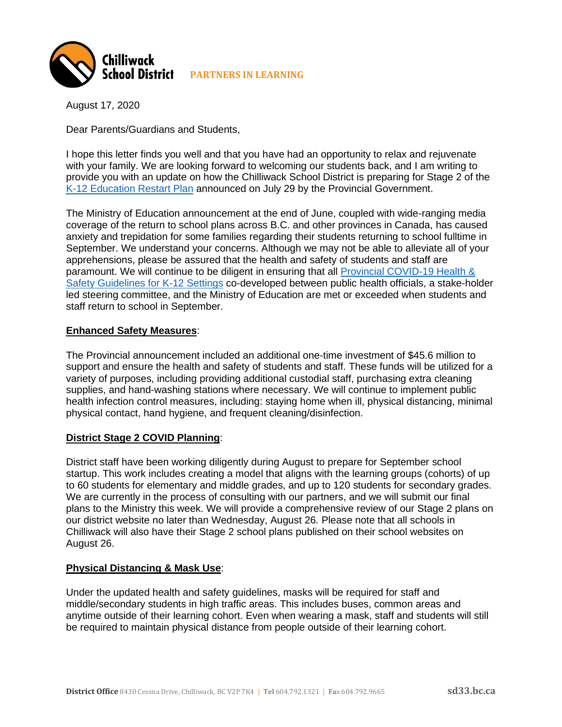

August 17, 2020

Dear Parents/Guardians and Students,

I hope this letter finds you well and that you have had an opportunity to relax and rejuvenate with your family. We are looking forward to welcoming our students back, and I am writing to provide you with an update on how the Chilliwack School District is preparing for Stage 2 of the [K-12 Education Restart Plan](https://www2.gov.bc.ca/assets/gov/education/administration/kindergarten-to-grade-12/safe-caring-orderly/k-12-education-restart-plan.pdf) announced on July 29 by the Provincial Government.

The Ministry of Education announcement at the end of June, coupled with wide-ranging media coverage of the return to school plans across B.C. and other provinces in Canada, has caused anxiety and trepidation for some families regarding their students returning to school fulltime in September. We understand your concerns. Although we may not be able to alleviate all of your apprehensions, please be assured that the health and safety of students and staff are paramount. We will continue to be diligent in ensuring that all [Provincial COVID-19 Health &](https://www2.gov.bc.ca/assets/gov/education/administration/kindergarten-to-grade-12/safe-caring-orderly/k-12-covid-19-health-safety-guidlines.pdf)  [Safety Guidelines](https://www2.gov.bc.ca/assets/gov/education/administration/kindergarten-to-grade-12/safe-caring-orderly/k-12-covid-19-health-safety-guidlines.pdf) for K-12 Settings co-developed between public health officials, a stake-holder led steering committee, and the Ministry of Education are met or exceeded when students and staff return to school in September.

### **Enhanced Safety Measures**:

The Provincial announcement included an additional one-time investment of \$45.6 million to support and ensure the health and safety of students and staff. These funds will be utilized for a variety of purposes, including providing additional custodial staff, purchasing extra cleaning supplies, and hand-washing stations where necessary. We will continue to implement public health infection control measures, including: staying home when ill, physical distancing, minimal physical contact, hand hygiene, and frequent cleaning/disinfection.

### **District Stage 2 COVID Planning**:

District staff have been working diligently during August to prepare for September school startup. This work includes creating a model that aligns with the learning groups (cohorts) of up to 60 students for elementary and middle grades, and up to 120 students for secondary grades. We are currently in the process of consulting with our partners, and we will submit our final plans to the Ministry this week. We will provide a comprehensive review of our Stage 2 plans on our district website no later than Wednesday, August 26. Please note that all schools in Chilliwack will also have their Stage 2 school plans published on their school websites on August 26.

### **Physical Distancing & Mask Use**:

Under the updated health and safety guidelines, masks will be required for staff and middle/secondary students in high traffic areas. This includes buses, common areas and anytime outside of their learning cohort. Even when wearing a mask, staff and students will still be required to maintain physical distance from people outside of their learning cohort.